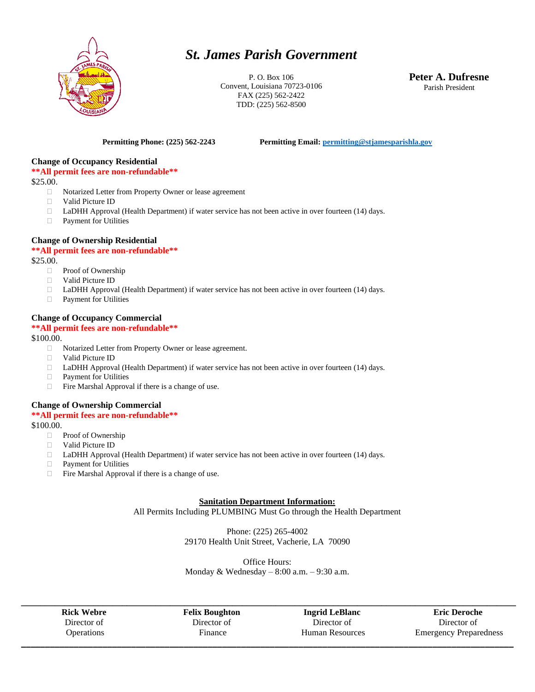

# *St. James Parish Government*

P. O. Box 106 Convent, Louisiana 70723-0106 FAX (225) 562-2422 TDD: (225) 562-8500

**Peter A. Dufresne** Parish President

**Permitting Phone: (225) 562-2243 Permitting Email[: permitting@stjamesparishla.gov](mailto:permitting@stjamesparishla.gov)**

#### **Change of Occupancy Residential**

**\*\*All permit fees are non-refundable\*\***

\$25.00.

- Notarized Letter from Property Owner or lease agreement
- Valid Picture ID
- □ LaDHH Approval (Health Department) if water service has not been active in over fourteen (14) days.
- Payment for Utilities

#### **Change of Ownership Residential**

### **\*\*All permit fees are non-refundable\*\***

\$25.00.

- □ Proof of Ownership
- Valid Picture ID
- □ LaDHH Approval (Health Department) if water service has not been active in over fourteen (14) days.
- **Payment for Utilities**

#### **Change of Occupancy Commercial**

## **\*\*All permit fees are non-refundable\*\***

\$100.00.

- □ Notarized Letter from Property Owner or lease agreement.
- Valid Picture ID
- □ LaDHH Approval (Health Department) if water service has not been active in over fourteen (14) days.
- **Payment for Utilities**
- $\Box$  Fire Marshal Approval if there is a change of use.

#### **Change of Ownership Commercial**

#### **\*\*All permit fees are non-refundable\*\***

\$100.00.

- □ Proof of Ownership
- Valid Picture ID
- □ LaDHH Approval (Health Department) if water service has not been active in over fourteen (14) days.
- Payment for Utilities
- $\Box$  Fire Marshal Approval if there is a change of use.

#### **Sanitation Department Information:**

All Permits Including PLUMBING Must Go through the Health Department

Phone: (225) 265-4002 29170 Health Unit Street, Vacherie, LA 70090

Office Hours: Monday & Wednesday  $-8:00$  a.m.  $-9:30$  a.m.

**\_\_\_\_\_\_\_\_\_\_\_\_\_\_\_\_\_\_\_\_\_\_\_\_\_\_\_\_\_\_\_\_\_\_\_\_\_\_\_\_\_\_\_\_\_\_\_\_\_\_\_\_\_\_\_\_\_\_\_\_\_\_\_\_\_\_\_\_\_\_\_\_\_\_\_\_\_\_\_\_\_\_\_\_\_\_\_\_\_\_\_\_\_\_\_\_\_\_\_\_\_\_\_ Rick Webre** Director of **Operations** 

**Felix Boughton** Director of Finance

**Ingrid LeBlanc** Director of Human Resources **\_\_\_\_\_\_\_\_\_\_\_\_\_\_\_\_\_\_\_\_\_\_\_\_\_\_\_\_\_\_\_\_\_\_\_\_\_\_\_\_\_\_\_\_\_\_\_\_\_\_\_\_\_\_\_\_\_\_\_\_\_\_\_\_\_\_\_\_\_\_\_\_\_\_\_\_\_\_\_\_\_\_\_\_\_\_\_\_\_\_\_\_\_\_\_\_\_\_\_\_\_\_\_**

**Eric Deroche** Director of Emergency Preparedness